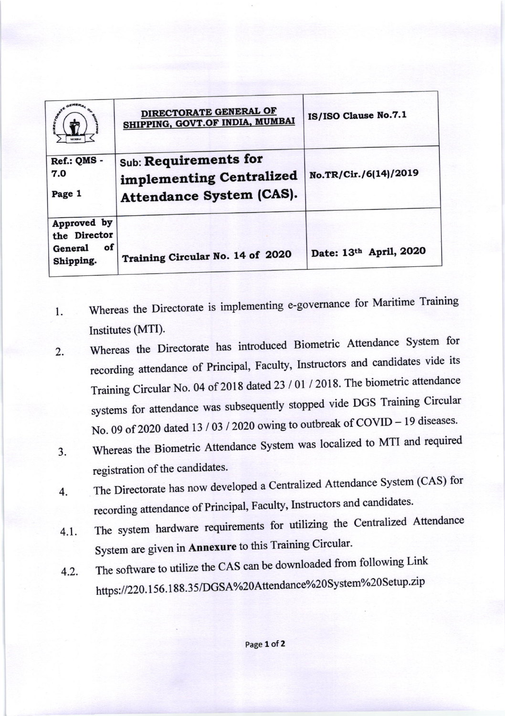|                                                           | DIRECTORATE GENERAL OF<br>SHIPPING, GOVT.OF INDIA, MUMBAI                            | IS/ISO Clause No.7.1   |
|-----------------------------------------------------------|--------------------------------------------------------------------------------------|------------------------|
| Ref.: QMS -<br>7.0<br>Page 1                              | Sub: Requirements for<br>implementing Centralized<br><b>Attendance System (CAS).</b> | No.TR/Cir./6(14)/2019  |
| Approved by<br>the Director<br>οf<br>General<br>Shipping. | Training Circular No. 14 of 2020                                                     | Date: 13th April, 2020 |

- Whereas the Directorate is implementing e-governance for Maritime Training 1. Institutes (MTI).
- Whereas the Directorate has introduced Biometric Attendance System for  $\overline{2}$ . recording attendance of Principal, Faculty, Instructors and candidates vide its Training Circular No. 04 of 2018 dated 23 / 01 / 2018. The biometric attendance systems for attendance was subsequently stopped vide DGS Training Circular No. 09 of 2020 dated 13 / 03 / 2020 owing to outbreak of COVID - 19 diseases.
- Whereas the Biometric Attendance System was localized to MTI and required  $3.$ registration of the candidates.
- The Directorate has now developed a Centralized Attendance System (CAS) for 4. recording attendance of Principal, Faculty, Instructors and candidates.
- The system hardware requirements for utilizing the Centralized Attendance  $4.1.$ System are given in Annexure to this Training Circular.
- The software to utilize the CAS can be downloaded from following Link  $4.2.$ https://220.156.188.35/DGSA%20Attendance%20System%20Setup.zip